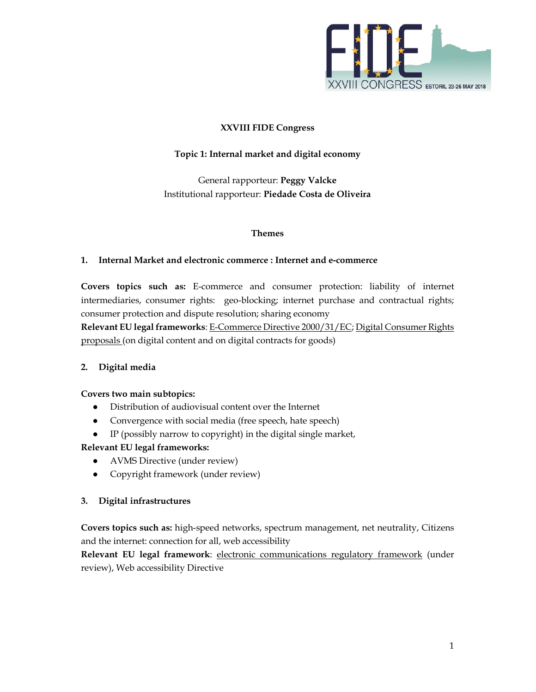

## **XXVIII FIDE Congress**

## **Topic 1: Internal market and digital economy**

General rapporteur: **Peggy Valcke**  Institutional rapporteur: **Piedade Costa de Oliveira**

### **Themes**

### **1. Internal Market and electronic commerce : Internet and e-commerce**

**Covers topics such as:** E-commerce and consumer protection: liability of internet intermediaries, consumer rights: geo-blocking; internet purchase and contractual rights; consumer protection and dispute resolution; sharing economy

**Relevant EU legal frameworks**: E-Commerce Directive 2000/31/EC; Digital Consumer Rights proposals (on digital content and on digital contracts for goods)

### **2. Digital media**

### **Covers two main subtopics:**

- Distribution of audiovisual content over the Internet
- Convergence with social media (free speech, hate speech)
- IP (possibly narrow to copyright) in the digital single market,

# **Relevant EU legal frameworks:**

- AVMS Directive (under review)
- Copyright framework (under review)

### **3. Digital infrastructures**

**Covers topics such as:** high-speed networks, spectrum management, net neutrality, Citizens and the internet: connection for all, web accessibility

**Relevant EU legal framework**: electronic communications regulatory framework (under review), Web accessibility Directive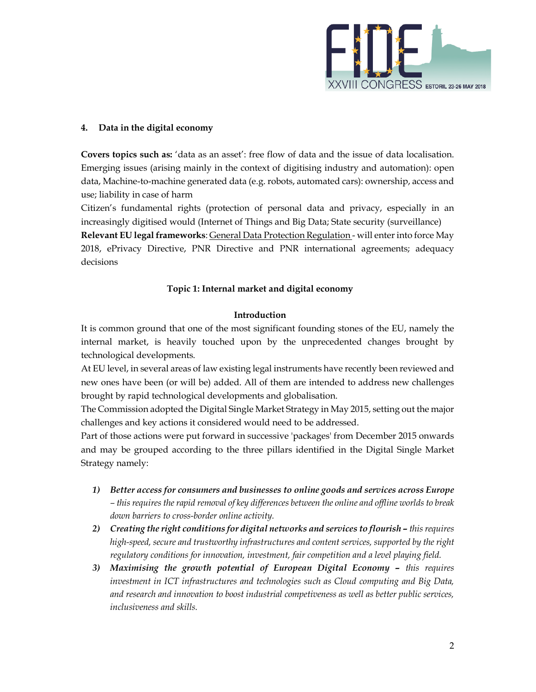

## **4. Data in the digital economy**

**Covers topics such as:** 'data as an asset': free flow of data and the issue of data localisation. Emerging issues (arising mainly in the context of digitising industry and automation): open data, Machine-to-machine generated data (e.g. robots, automated cars): ownership, access and use; liability in case of harm

Citizen's fundamental rights (protection of personal data and privacy, especially in an increasingly digitised would (Internet of Things and Big Data; State security (surveillance) **Relevant EU legal frameworks**: General Data Protection Regulation - will enter into force May 2018, ePrivacy Directive, PNR Directive and PNR international agreements; adequacy decisions

### **Topic 1: Internal market and digital economy**

#### **Introduction**

It is common ground that one of the most significant founding stones of the EU, namely the internal market, is heavily touched upon by the unprecedented changes brought by technological developments.

At EU level, in several areas of law existing legal instruments have recently been reviewed and new ones have been (or will be) added. All of them are intended to address new challenges brought by rapid technological developments and globalisation.

The Commission adopted the Digital Single Market Strategy in May 2015, setting out the major challenges and key actions it considered would need to be addressed.

Part of those actions were put forward in successive 'packages' from December 2015 onwards and may be grouped according to the three pillars identified in the Digital Single Market Strategy namely:

- *1) Better access for consumers and businesses to online goods and services across Europe – this requires the rapid removal of key differences between the online and offline worlds to break down barriers to cross-border online activity.*
- *2) Creating the right conditions for digital networks and services to flourish this requires high-speed, secure and trustworthy infrastructures and content services, supported by the right regulatory conditions for innovation, investment, fair competition and a level playing field.*
- *3) Maximising the growth potential of European Digital Economy this requires investment in ICT infrastructures and technologies such as Cloud computing and Big Data, and research and innovation to boost industrial competiveness as well as better public services, inclusiveness and skills.*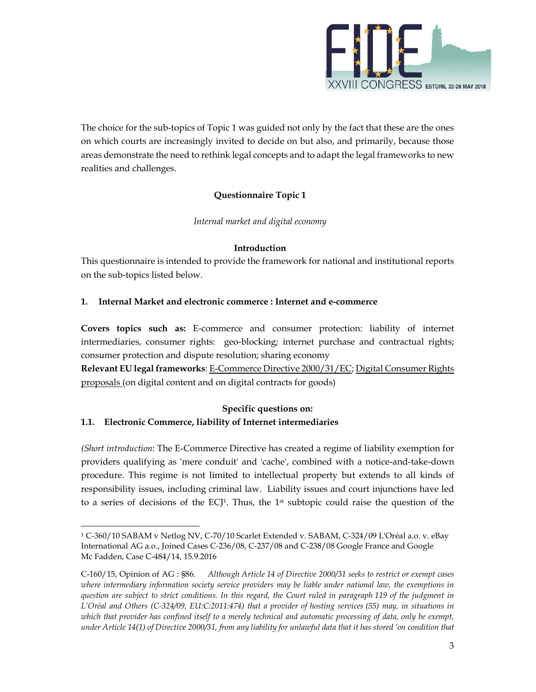

The choice for the sub-topics of Topic 1 was guided not only by the fact that these are the ones on which courts are increasingly invited to decide on but also, and primarily, because those areas demonstrate the need to rethink legal concepts and to adapt the legal frameworks to new realities and challenges.

# **Questionnaire Topic 1**

*Internal market and digital economy* 

## **Introduction**

This questionnaire is intended to provide the framework for national and institutional reports on the sub-topics listed below.

## **1. Internal Market and electronic commerce : Internet and e-commerce**

**Covers topics such as:** E-commerce and consumer protection: liability of internet intermediaries, consumer rights: geo-blocking; internet purchase and contractual rights; consumer protection and dispute resolution; sharing economy

**Relevant EU legal frameworks**: E-Commerce Directive 2000/31/EC; Digital Consumer Rights proposals (on digital content and on digital contracts for goods)

# **Specific questions on: 1.1. Electronic Commerce, liability of Internet intermediaries**

*(Short introduction*: The E-Commerce Directive has created a regime of liability exemption for providers qualifying as 'mere conduit' and 'cache', combined with a notice-and-take-down procedure. This regime is not limited to intellectual property but extends to all kinds of responsibility issues, including criminal law. Liability issues and court injunctions have led to a series of decisions of the ECJ<sup>1</sup>. Thus, the 1<sup>st</sup> subtopic could raise the question of the

<sup>1</sup> C-360/10 SABAM v Netlog NV, C-70/10 Scarlet Extended v. SABAM, C-324/09 L'Oréal a.o. v. eBay International AG a.o., Joined Cases C-236/08, C-237/08 and C-238/08 Google France and Google*.*  Mc Fadden, Case C-484/14, 15.9.2016

C-160/15, Opinion of AG : §86. *Although Article 14 of Directive 2000/31 seeks to restrict or exempt cases where intermediary information society service providers may be liable under national law, the exemptions in question are subject to strict conditions. In this regard, the Court ruled in paragraph 119 of the judgment in L'Oréal and Others (C-324/09, EU:C:2011:474) that a provider of hosting services (55) may, in situations in*  which that provider has confined itself to a merely technical and automatic processing of data, only be exempt, *under Article 14(1) of Directive 2000/31, from any liability for unlawful data that it has stored 'on condition that*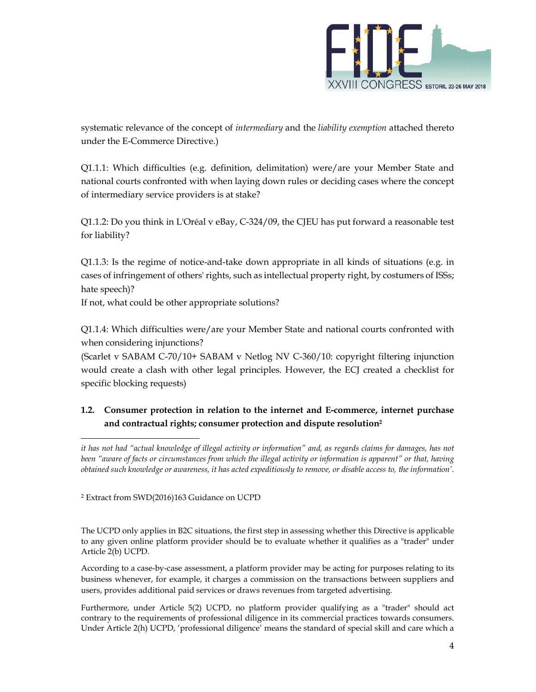

systematic relevance of the concept of *intermediary* and the *liability exemption* attached thereto under the E-Commerce Directive.)

Q1.1.1: Which difficulties (e.g. definition, delimitation) were/are your Member State and national courts confronted with when laying down rules or deciding cases where the concept of intermediary service providers is at stake?

Q1.1.2: Do you think in L'Oréal v eBay, C-324/09, the CJEU has put forward a reasonable test for liability?

Q1.1.3: Is the regime of notice-and-take down appropriate in all kinds of situations (e.g. in cases of infringement of others' rights, such as intellectual property right, by costumers of ISSs; hate speech)?

If not, what could be other appropriate solutions?

Q1.1.4: Which difficulties were/are your Member State and national courts confronted with when considering injunctions?

(Scarlet v SABAM C-70/10+ SABAM v Netlog NV C-360/10: copyright filtering injunction would create a clash with other legal principles. However, the ECJ created a checklist for specific blocking requests)

# **1.2. Consumer protection in relation to the internet and E-commerce, internet purchase and contractual rights; consumer protection and dispute resolution<sup>2</sup>**

2 Extract from SWD(2016)163 Guidance on UCPD

The UCPD only applies in B2C situations, the first step in assessing whether this Directive is applicable to any given online platform provider should be to evaluate whether it qualifies as a "trader" under Article 2(b) UCPD.

According to a case-by-case assessment, a platform provider may be acting for purposes relating to its business whenever, for example, it charges a commission on the transactions between suppliers and users, provides additional paid services or draws revenues from targeted advertising.

Furthermore, under Article 5(2) UCPD, no platform provider qualifying as a "trader" should act contrary to the requirements of professional diligence in its commercial practices towards consumers. Under Article 2(h) UCPD, 'professional diligence' means the standard of special skill and care which a

*it has not had "actual knowledge of illegal activity or information" and, as regards claims for damages, has not been "aware of facts or circumstances from which the illegal activity or information is apparent" or that, having obtained such knowledge or awareness, it has acted expeditiously to remove, or disable access to, the information'*.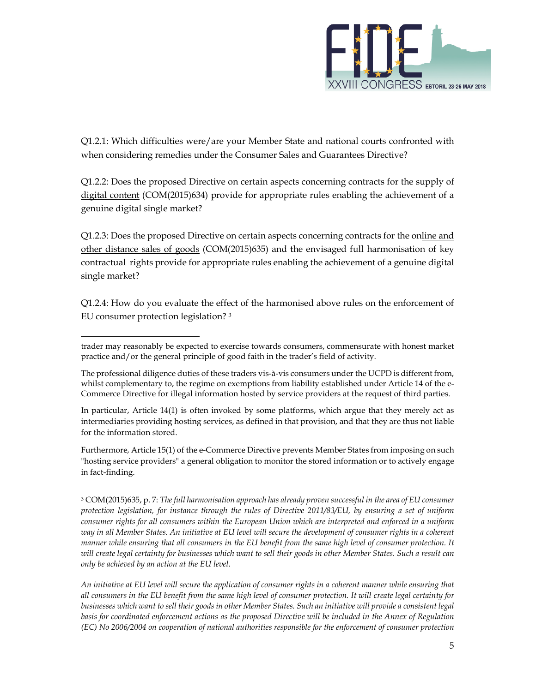

Q1.2.1: Which difficulties were/are your Member State and national courts confronted with when considering remedies under the Consumer Sales and Guarantees Directive?

Q1.2.2: Does the proposed Directive on certain aspects concerning contracts for the supply of digital content (COM(2015)634) provide for appropriate rules enabling the achievement of a genuine digital single market?

Q1.2.3: Does the proposed Directive on certain aspects concerning contracts for the online and other distance sales of goods (COM(2015)635) and the envisaged full harmonisation of key contractual rights provide for appropriate rules enabling the achievement of a genuine digital single market?

Q1.2.4: How do you evaluate the effect of the harmonised above rules on the enforcement of EU consumer protection legislation? <sup>3</sup>

In particular, Article 14(1) is often invoked by some platforms, which argue that they merely act as intermediaries providing hosting services, as defined in that provision, and that they are thus not liable for the information stored.

Furthermore, Article 15(1) of the e-Commerce Directive prevents Member States from imposing on such "hosting service providers" a general obligation to monitor the stored information or to actively engage in fact-finding.

3 COM(2015)635, p. 7: *The full harmonisation approach has already proven successful in the area of EU consumer protection legislation, for instance through the rules of Directive 2011/83/EU, by ensuring a set of uniform consumer rights for all consumers within the European Union which are interpreted and enforced in a uniform way in all Member States. An initiative at EU level will secure the development of consumer rights in a coherent manner while ensuring that all consumers in the EU benefit from the same high level of consumer protection. It will create legal certainty for businesses which want to sell their goods in other Member States. Such a result can only be achieved by an action at the EU level.* 

*An initiative at EU level will secure the application of consumer rights in a coherent manner while ensuring that all consumers in the EU benefit from the same high level of consumer protection. It will create legal certainty for businesses which want to sell their goods in other Member States. Such an initiative will provide a consistent legal basis for coordinated enforcement actions as the proposed Directive will be included in the Annex of Regulation (EC) No 2006/2004 on cooperation of national authorities responsible for the enforcement of consumer protection* 

trader may reasonably be expected to exercise towards consumers, commensurate with honest market practice and/or the general principle of good faith in the trader's field of activity.

The professional diligence duties of these traders vis-à-vis consumers under the UCPD is different from, whilst complementary to, the regime on exemptions from liability established under Article 14 of the e-Commerce Directive for illegal information hosted by service providers at the request of third parties.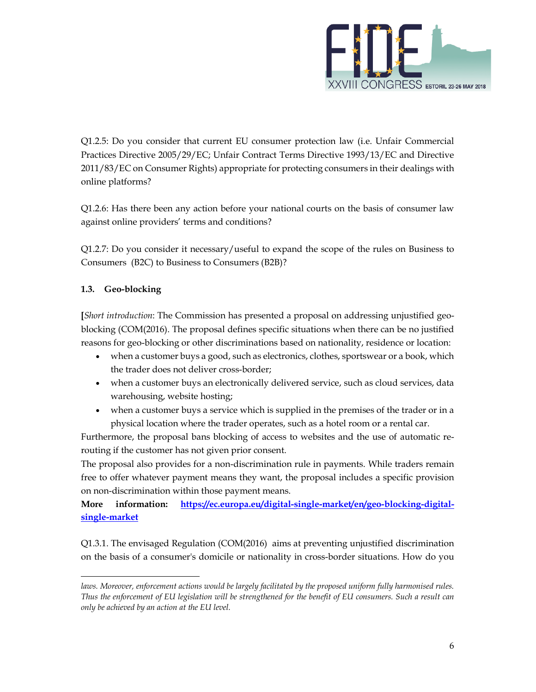

Q1.2.5: Do you consider that current EU consumer protection law (i.e. Unfair Commercial Practices Directive 2005/29/EC; Unfair Contract Terms Directive 1993/13/EC and Directive 2011/83/EC on Consumer Rights) appropriate for protecting consumers in their dealings with online platforms?

Q1.2.6: Has there been any action before your national courts on the basis of consumer law against online providers' terms and conditions?

Q1.2.7: Do you consider it necessary/useful to expand the scope of the rules on Business to Consumers (B2C) to Business to Consumers (B2B)?

# **1.3. Geo-blocking**

**[***Short introduction*: The Commission has presented a proposal on addressing unjustified geoblocking (COM(2016). The proposal defines specific situations when there can be no justified reasons for geo-blocking or other discriminations based on nationality, residence or location:

- when a customer buys a good, such as electronics, clothes, sportswear or a book, which the trader does not deliver cross-border;
- when a customer buys an electronically delivered service, such as cloud services, data warehousing, website hosting;
- when a customer buys a service which is supplied in the premises of the trader or in a physical location where the trader operates, such as a hotel room or a rental car.

Furthermore, the proposal bans blocking of access to websites and the use of automatic rerouting if the customer has not given prior consent.

The proposal also provides for a non-discrimination rule in payments. While traders remain free to offer whatever payment means they want, the proposal includes a specific provision on non-discrimination within those payment means.

**More information: https://ec.europa.eu/digital-single-market/en/geo-blocking-digitalsingle-market**

Q1.3.1. The envisaged Regulation (COM(2016) aims at preventing unjustified discrimination on the basis of a consumer's domicile or nationality in cross-border situations. How do you

laws. Moreover, enforcement actions would be largely facilitated by the proposed uniform fully harmonised rules. *Thus the enforcement of EU legislation will be strengthened for the benefit of EU consumers. Such a result can only be achieved by an action at the EU level.*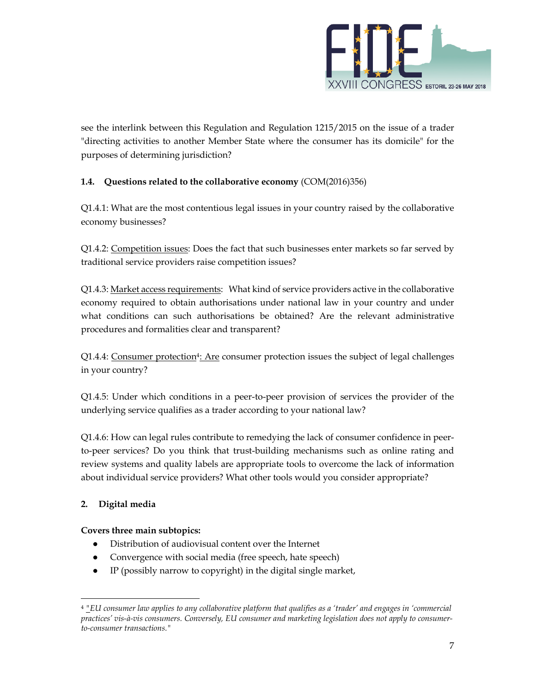

see the interlink between this Regulation and Regulation 1215/2015 on the issue of a trader "directing activities to another Member State where the consumer has its domicile" for the purposes of determining jurisdiction?

# **1.4. Questions related to the collaborative economy** (COM(2016)356)

Q1.4.1: What are the most contentious legal issues in your country raised by the collaborative economy businesses?

Q1.4.2: Competition issues: Does the fact that such businesses enter markets so far served by traditional service providers raise competition issues?

Q1.4.3: Market access requirements: What kind of service providers active in the collaborative economy required to obtain authorisations under national law in your country and under what conditions can such authorisations be obtained? Are the relevant administrative procedures and formalities clear and transparent?

Q1.4.4: Consumer protection4: Are consumer protection issues the subject of legal challenges in your country?

Q1.4.5: Under which conditions in a peer-to-peer provision of services the provider of the underlying service qualifies as a trader according to your national law?

Q1.4.6: How can legal rules contribute to remedying the lack of consumer confidence in peerto-peer services? Do you think that trust-building mechanisms such as online rating and review systems and quality labels are appropriate tools to overcome the lack of information about individual service providers? What other tools would you consider appropriate?

# **2. Digital media**

# **Covers three main subtopics:**

- Distribution of audiovisual content over the Internet
- Convergence with social media (free speech, hate speech)
- IP (possibly narrow to copyright) in the digital single market,

<sup>4</sup> *"EU consumer law applies to any collaborative platform that qualifies as a 'trader' and engages in 'commercial practices' vis-à-vis consumers. Conversely, EU consumer and marketing legislation does not apply to consumerto-consumer transactions."*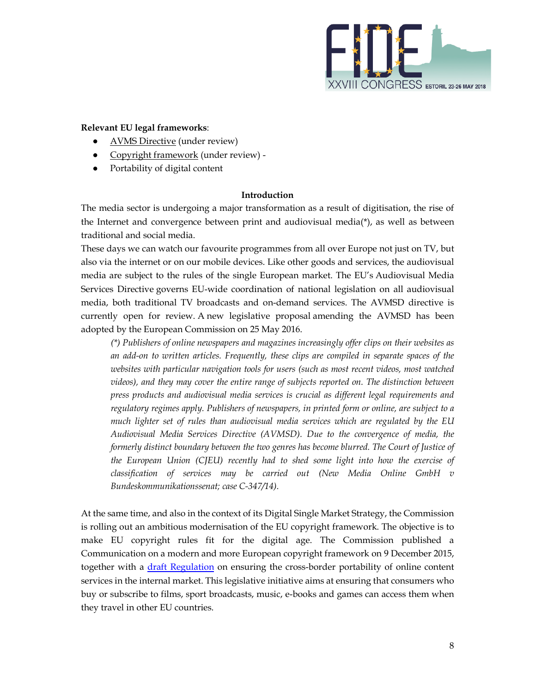

## **Relevant EU legal frameworks**:

- AVMS Directive (under review)
- Copyright framework (under review) -
- Portability of digital content

### **Introduction**

The media sector is undergoing a major transformation as a result of digitisation, the rise of the Internet and convergence between print and audiovisual media $(*)$ , as well as between traditional and social media.

These days we can watch our favourite programmes from all over Europe not just on TV, but also via the internet or on our mobile devices. Like other goods and services, the audiovisual media are subject to the rules of the single European market. The EU's Audiovisual Media Services Directive governs EU-wide coordination of national legislation on all audiovisual media, both traditional TV broadcasts and on-demand services. The AVMSD directive is currently open for review. A new legislative proposal amending the AVMSD has been adopted by the European Commission on 25 May 2016.

*(\*) Publishers of online newspapers and magazines increasingly offer clips on their websites as an add-on to written articles. Frequently, these clips are compiled in separate spaces of the websites with particular navigation tools for users (such as most recent videos, most watched videos), and they may cover the entire range of subjects reported on. The distinction between press products and audiovisual media services is crucial as different legal requirements and regulatory regimes apply. Publishers of newspapers, in printed form or online, are subject to a much lighter set of rules than audiovisual media services which are regulated by the EU Audiovisual Media Services Directive (AVMSD). Due to the convergence of media, the formerly distinct boundary between the two genres has become blurred. The Court of Justice of the European Union (CJEU) recently had to shed some light into how the exercise of classification of services may be carried out (New Media Online GmbH v Bundeskommunikationssenat; case C-347/14).* 

At the same time, and also in the context of its Digital Single Market Strategy, the Commission is rolling out an ambitious modernisation of the EU copyright framework. The objective is to make EU copyright rules fit for the digital age. The Commission published a Communication on a modern and more European copyright framework on 9 December 2015, together with a draft Regulation on ensuring the cross-border portability of online content services in the internal market. This legislative initiative aims at ensuring that consumers who buy or subscribe to films, sport broadcasts, music, e-books and games can access them when they travel in other EU countries.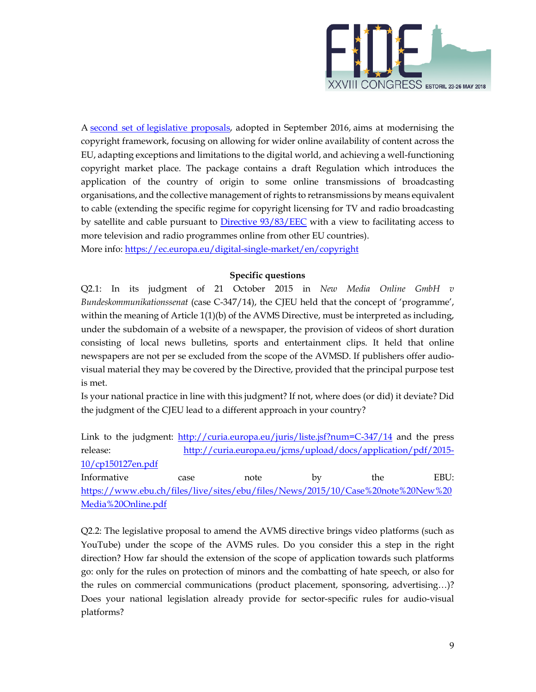

A second set of legislative proposals, adopted in September 2016, aims at modernising the copyright framework, focusing on allowing for wider online availability of content across the EU, adapting exceptions and limitations to the digital world, and achieving a well-functioning copyright market place. The package contains a draft Regulation which introduces the application of the country of origin to some online transmissions of broadcasting organisations, and the collective management of rights to retransmissions by means equivalent to cable (extending the specific regime for copyright licensing for TV and radio broadcasting by satellite and cable pursuant to Directive 93/83/EEC with a view to facilitating access to more television and radio programmes online from other EU countries). More info: https://ec.europa.eu/digital-single-market/en/copyright

## **Specific questions**

Q2.1: In its judgment of 21 October 2015 in *New Media Online GmbH v Bundeskommunikationssenat* (case C-347/14), the CJEU held that the concept of 'programme', within the meaning of Article 1(1)(b) of the AVMS Directive, must be interpreted as including, under the subdomain of a website of a newspaper, the provision of videos of short duration consisting of local news bulletins, sports and entertainment clips. It held that online newspapers are not per se excluded from the scope of the AVMSD. If publishers offer audiovisual material they may be covered by the Directive, provided that the principal purpose test is met.

Is your national practice in line with this judgment? If not, where does (or did) it deviate? Did the judgment of the CJEU lead to a different approach in your country?

Link to the judgment: http://curia.europa.eu/juris/liste.jsf?num=C-347/14 and the press release: http://curia.europa.eu/jcms/upload/docs/application/pdf/2015- 10/cp150127en.pdf

Informative case note by the EBU: https://www.ebu.ch/files/live/sites/ebu/files/News/2015/10/Case%20note%20New%20 Media%20Online.pdf

Q2.2: The legislative proposal to amend the AVMS directive brings video platforms (such as YouTube) under the scope of the AVMS rules. Do you consider this a step in the right direction? How far should the extension of the scope of application towards such platforms go: only for the rules on protection of minors and the combatting of hate speech, or also for the rules on commercial communications (product placement, sponsoring, advertising…)? Does your national legislation already provide for sector-specific rules for audio-visual platforms?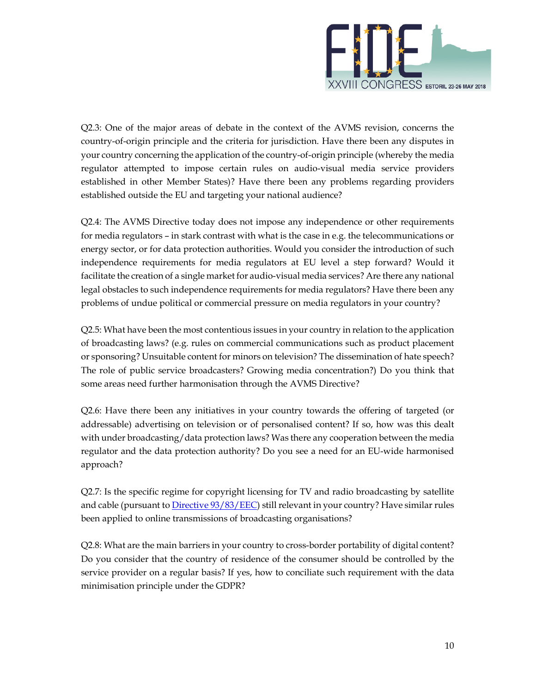

Q2.3: One of the major areas of debate in the context of the AVMS revision, concerns the country-of-origin principle and the criteria for jurisdiction. Have there been any disputes in your country concerning the application of the country-of-origin principle (whereby the media regulator attempted to impose certain rules on audio-visual media service providers established in other Member States)? Have there been any problems regarding providers established outside the EU and targeting your national audience?

Q2.4: The AVMS Directive today does not impose any independence or other requirements for media regulators – in stark contrast with what is the case in e.g. the telecommunications or energy sector, or for data protection authorities. Would you consider the introduction of such independence requirements for media regulators at EU level a step forward? Would it facilitate the creation of a single market for audio-visual media services? Are there any national legal obstacles to such independence requirements for media regulators? Have there been any problems of undue political or commercial pressure on media regulators in your country?

Q2.5: What have been the most contentious issues in your country in relation to the application of broadcasting laws? (e.g. rules on commercial communications such as product placement or sponsoring? Unsuitable content for minors on television? The dissemination of hate speech? The role of public service broadcasters? Growing media concentration?) Do you think that some areas need further harmonisation through the AVMS Directive?

Q2.6: Have there been any initiatives in your country towards the offering of targeted (or addressable) advertising on television or of personalised content? If so, how was this dealt with under broadcasting/data protection laws? Was there any cooperation between the media regulator and the data protection authority? Do you see a need for an EU-wide harmonised approach?

Q2.7: Is the specific regime for copyright licensing for TV and radio broadcasting by satellite and cable (pursuant to Directive 93/83/EEC) still relevant in your country? Have similar rules been applied to online transmissions of broadcasting organisations?

Q2.8: What are the main barriers in your country to cross-border portability of digital content? Do you consider that the country of residence of the consumer should be controlled by the service provider on a regular basis? If yes, how to conciliate such requirement with the data minimisation principle under the GDPR?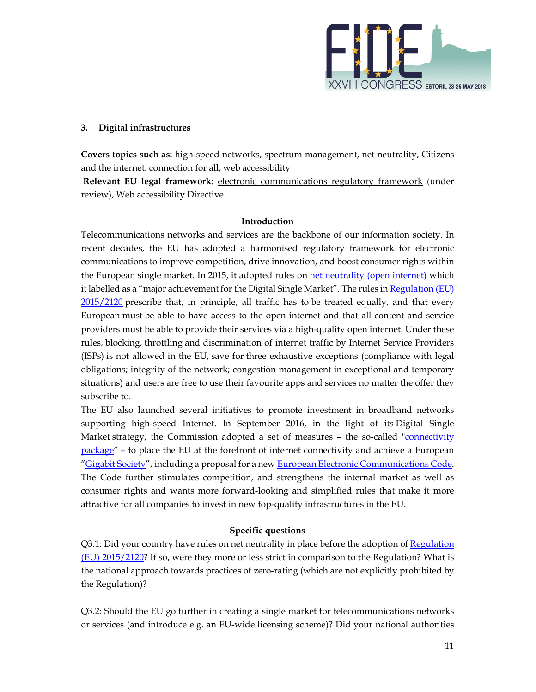

## **3. Digital infrastructures**

**Covers topics such as:** high-speed networks, spectrum management, net neutrality, Citizens and the internet: connection for all, web accessibility

 **Relevant EU legal framework**: electronic communications regulatory framework (under review), Web accessibility Directive

#### **Introduction**

Telecommunications networks and services are the backbone of our information society. In recent decades, the EU has adopted a harmonised regulatory framework for electronic communications to improve competition, drive innovation, and boost consumer rights within the European single market. In 2015, it adopted rules on net neutrality (open internet) which it labelled as a "major achievement for the Digital Single Market". The rules in Regulation (EU) 2015/2120 prescribe that, in principle, all traffic has to be treated equally, and that every European must be able to have access to the open internet and that all content and service providers must be able to provide their services via a high-quality open internet. Under these rules, blocking, throttling and discrimination of internet traffic by Internet Service Providers (ISPs) is not allowed in the EU, save for three exhaustive exceptions (compliance with legal obligations; integrity of the network; congestion management in exceptional and temporary situations) and users are free to use their favourite apps and services no matter the offer they subscribe to.

The EU also launched several initiatives to promote investment in broadband networks supporting high-speed Internet. In September 2016, in the light of its Digital Single Market strategy, the Commission adopted a set of measures - the so-called "connectivity package" – to place the EU at the forefront of internet connectivity and achieve a European "Gigabit Society", including a proposal for a new European Electronic Communications Code. The Code further stimulates competition, and strengthens the internal market as well as consumer rights and wants more forward-looking and simplified rules that make it more attractive for all companies to invest in new top-quality infrastructures in the EU.

### **Specific questions**

Q3.1: Did your country have rules on net neutrality in place before the adoption of Regulation (EU) 2015/2120? If so, were they more or less strict in comparison to the Regulation? What is the national approach towards practices of zero-rating (which are not explicitly prohibited by the Regulation)?

Q3.2: Should the EU go further in creating a single market for telecommunications networks or services (and introduce e.g. an EU-wide licensing scheme)? Did your national authorities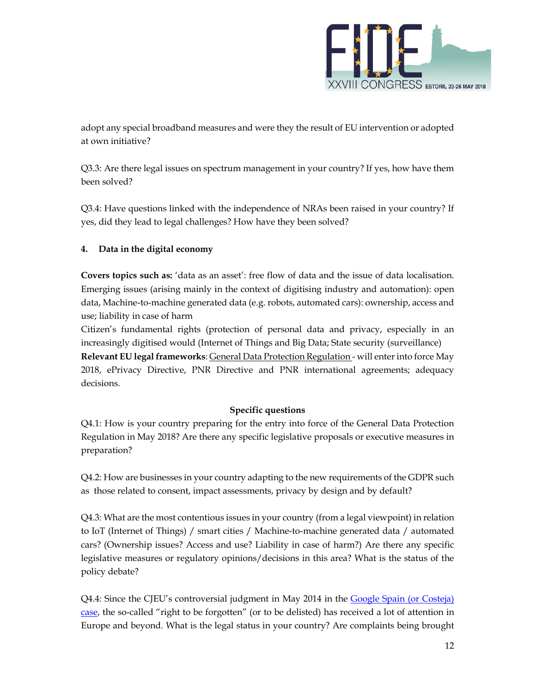

adopt any special broadband measures and were they the result of EU intervention or adopted at own initiative?

Q3.3: Are there legal issues on spectrum management in your country? If yes, how have them been solved?

Q3.4: Have questions linked with the independence of NRAs been raised in your country? If yes, did they lead to legal challenges? How have they been solved?

# **4. Data in the digital economy**

**Covers topics such as:** 'data as an asset': free flow of data and the issue of data localisation. Emerging issues (arising mainly in the context of digitising industry and automation): open data, Machine-to-machine generated data (e.g. robots, automated cars): ownership, access and use; liability in case of harm

Citizen's fundamental rights (protection of personal data and privacy, especially in an increasingly digitised would (Internet of Things and Big Data; State security (surveillance) **Relevant EU legal frameworks**: General Data Protection Regulation - will enter into force May 2018, ePrivacy Directive, PNR Directive and PNR international agreements; adequacy decisions.

# **Specific questions**

Q4.1: How is your country preparing for the entry into force of the General Data Protection Regulation in May 2018? Are there any specific legislative proposals or executive measures in preparation?

Q4.2: How are businesses in your country adapting to the new requirements of the GDPR such as those related to consent, impact assessments, privacy by design and by default?

Q4.3: What are the most contentious issues in your country (from a legal viewpoint) in relation to IoT (Internet of Things) / smart cities / Machine-to-machine generated data / automated cars? (Ownership issues? Access and use? Liability in case of harm?) Are there any specific legislative measures or regulatory opinions/decisions in this area? What is the status of the policy debate?

Q4.4: Since the CJEU's controversial judgment in May 2014 in the Google Spain (or Costeja) case, the so-called "right to be forgotten" (or to be delisted) has received a lot of attention in Europe and beyond. What is the legal status in your country? Are complaints being brought